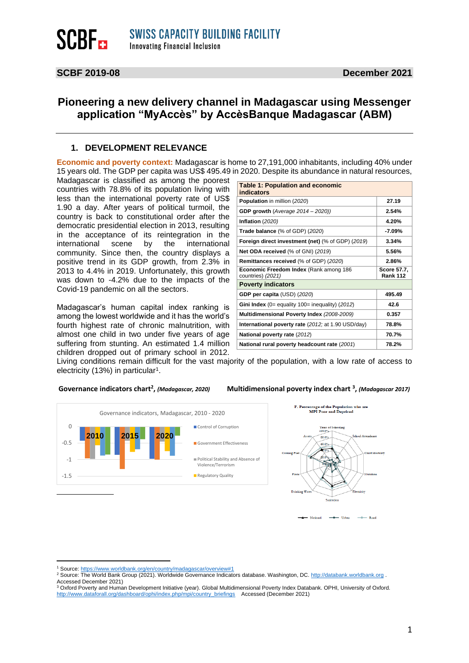## **Pioneering a new delivery channel in Madagascar using Messenger application "MyAccès" by AccèsBanque Madagascar (ABM)**

#### **1. DEVELOPMENT RELEVANCE**

**Economic and poverty context:** Madagascar is home to 27,191,000 inhabitants, including 40% under 15 years old. The GDP per capita was US\$ 495.49 in 2020. Despite its abundance in natural resources,

Madagascar is classified as among the poorest countries with 78.8% of its population living with less than the international poverty rate of US\$ 1.90 a day. After years of political turmoil, the country is back to constitutional order after the democratic presidential election in 2013, resulting in the acceptance of its reintegration in the international scene by the international community. Since then, the country displays a positive trend in its GDP growth, from 2.3% in 2013 to 4.4% in 2019. Unfortunately, this growth was down to -4.2% due to the impacts of the Covid-19 pandemic on all the sectors.

Madagascar's human capital index ranking is among the lowest worldwide and it has the world's fourth highest rate of chronic malnutrition, with almost one child in two under five years of age suffering from stunting. An estimated 1.4 million children dropped out of primary school in 2012.

| <b>Table 1: Population and economic</b><br>indicators       |                                |  |  |  |  |  |
|-------------------------------------------------------------|--------------------------------|--|--|--|--|--|
| Population in million (2020)                                | 27.19                          |  |  |  |  |  |
| <b>GDP growth</b> (Average 2014 - 2020))                    | 2.54%                          |  |  |  |  |  |
| Inflation (2020)                                            | 4.20%                          |  |  |  |  |  |
| <b>Trade balance</b> (% of GDP) (2020)                      | -7.09%                         |  |  |  |  |  |
| Foreign direct investment (net) (% of GDP) (2019)           | 3.34%                          |  |  |  |  |  |
| Net ODA received (% of GNI) (2019)                          | 5.56%                          |  |  |  |  |  |
| Remittances received (% of GDP) (2020)                      | 2.86%                          |  |  |  |  |  |
| Economic Freedom Index (Rank among 186<br>countries) (2021) | Score 57.7,<br><b>Rank 112</b> |  |  |  |  |  |
| <b>Poverty indicators</b>                                   |                                |  |  |  |  |  |
| GDP per capita (USD) (2020)                                 | 495.49                         |  |  |  |  |  |
| Gini Index (0= equality 100= inequality) (2012)             | 42.6                           |  |  |  |  |  |
| Multidimensional Poverty Index (2008-2009)                  | 0.357                          |  |  |  |  |  |
| International poverty rate (2012; at 1.90 USD/day)          | 78.8%                          |  |  |  |  |  |
| National poverty rate (2012)                                | 70.7%                          |  |  |  |  |  |
| National rural poverty headcount rate (2001)                | 78.2%                          |  |  |  |  |  |

Living conditions remain difficult for the vast majority of the population, with a low rate of access to electricity (13%) in particular<sup>1</sup>.

#### Governance indicators chart<sup>2</sup>, (Madagascar, 2020)

**,** *(Madagascar, 2020)* **Multidimensional poverty index chart <sup>3</sup> ,** *(Madagascar 2017)*



<sup>1</sup> Source[: https://www.worldbank.org/en/country/madagascar/overview#1](https://www.worldbank.org/en/country/madagascar/overview#1)

<sup>2</sup> Source: The World Bank Group (2021). Worldwide Governance Indicators database. Washington, DC[. http://databank.worldbank.org](http://databank.worldbank.org/) . Accessed December 2021)

<sup>&</sup>lt;sup>3</sup> Oxford Poverty and Human Development Initiative (year). Global Multidimensional Poverty Index Databank. OPHI, University of Oxford. [http://www.dataforall.org/dashboard/ophi/index.php/mpi/country\\_briefings](http://www.dataforall.org/dashboard/ophi/index.php/mpi/country_briefings) Accessed (December 2021)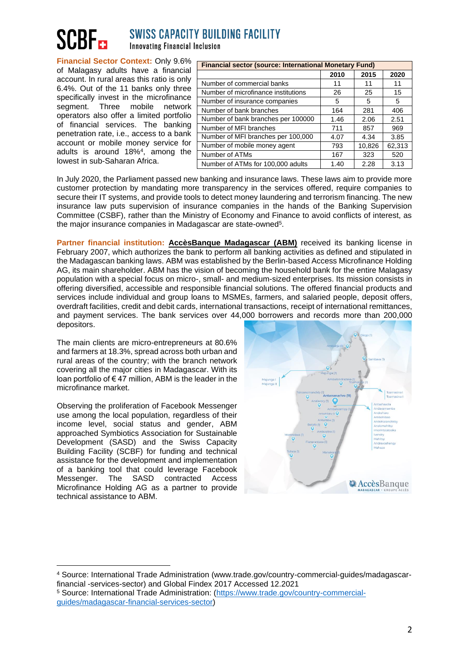# **SWISS CAPACITY BUILDING FACILITY**

**Innovating Financial Inclusion** 

**Financial Sector Context:** Only 9.6% of Malagasy adults have a financial account. In rural areas this ratio is only 6.4%. Out of the 11 banks only three specifically invest in the microfinance segment. Three mobile network operators also offer a limited portfolio of financial services. The banking penetration rate, i.e., access to a bank account or mobile money service for adults is around 18%<sup>4</sup> , among the lowest in sub-Saharan Africa.

| <b>Financial sector (source: International Monetary Fund)</b> |      |        |        |  |  |  |
|---------------------------------------------------------------|------|--------|--------|--|--|--|
|                                                               | 2010 | 2015   | 2020   |  |  |  |
| Number of commercial banks                                    | 11   | 11     | 11     |  |  |  |
| Number of microfinance institutions                           | 26   | 25     | 15     |  |  |  |
| Number of insurance companies                                 | 5    | 5      | 5      |  |  |  |
| Number of bank branches                                       | 164  | 281    | 406    |  |  |  |
| Number of bank branches per 100000                            | 1.46 | 2.06   | 2.51   |  |  |  |
| Number of MFI branches                                        | 711  | 857    | 969    |  |  |  |
| Number of MFI branches per 100,000                            | 4.07 | 4.34   | 3.85   |  |  |  |
| Number of mobile money agent                                  | 793  | 10,826 | 62,313 |  |  |  |
| Number of ATMs                                                | 167  | 323    | 520    |  |  |  |
| Number of ATMs for 100,000 adults                             | 1.40 | 2.28   | 3.13   |  |  |  |

In July 2020, the Parliament passed new banking and insurance laws. These laws aim to provide more customer protection by mandating more transparency in the services offered, require companies to secure their IT systems, and provide tools to detect money laundering and terrorism financing. The new insurance law puts supervision of insurance companies in the hands of the Banking Supervision Committee (CSBF), rather than the Ministry of Economy and Finance to avoid conflicts of interest, as the major insurance companies in Madagascar are state-owned<sup>5</sup>.

**Partner financial institution: AccèsBanque Madagascar (ABM)** received its banking license in February 2007, which authorizes the bank to perform all banking activities as defined and stipulated in the Madagascan banking laws. ABM was established by the Berlin-based Access Microfinance Holding AG, its main shareholder. ABM has the vision of becoming the household bank for the entire Malagasy population with a special focus on micro-, small- and medium-sized enterprises. Its mission consists in offering diversified, accessible and responsible financial solutions. The offered financial products and services include individual and group loans to MSMEs, farmers, and salaried people, deposit offers, overdraft facilities, credit and debit cards, international transactions, receipt of international remittances, and payment services. The bank services over 44,000 borrowers and records more than 200,000 depositors.

The main clients are micro-entrepreneurs at 80.6% and farmers at 18.3%, spread across both urban and rural areas of the country; with the branch network covering all the major cities in Madagascar. With its loan portfolio of  $\epsilon$  47 million, ABM is the leader in the microfinance market.

Observing the proliferation of Facebook Messenger use among the local population, regardless of their income level, social status and gender, ABM approached Symbiotics Association for Sustainable Development (SASD) and the Swiss Capacity Building Facility (SCBF) for funding and technical assistance for the development and implementation of a banking tool that could leverage Facebook Messenger. The SASD contracted Access Microfinance Holding AG as a partner to provide technical assistance to ABM.



<sup>4</sup> Source: International Trade Administration (www.trade.gov/country-commercial-guides/madagascarfinancial -services-sector) and Global Findex 2017 Accessed 12.2021 <sup>5</sup> Source: International Trade Administration: [\(https://www.trade.gov/country-commercial](https://www.trade.gov/country-commercial-guides/madagascar-financial-services-sector)[guides/madagascar-financial-services-sector\)](https://www.trade.gov/country-commercial-guides/madagascar-financial-services-sector)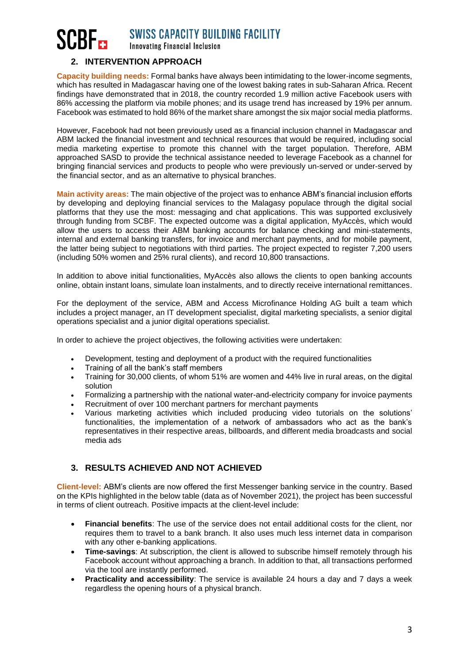# **SWISS CAPACITY BUILDING FACILITY Innovating Financial Inclusion**

#### **2. INTERVENTION APPROACH**

**Capacity building needs:** Formal banks have always been intimidating to the lower-income segments, which has resulted in Madagascar having one of the lowest baking rates in sub-Saharan Africa. Recent findings have demonstrated that in 2018, the country recorded 1.9 million active Facebook users with 86% accessing the platform via mobile phones; and its usage trend has increased by 19% per annum. Facebook was estimated to hold 86% of the market share amongst the six major social media platforms.

However, Facebook had not been previously used as a financial inclusion channel in Madagascar and ABM lacked the financial investment and technical resources that would be required, including social media marketing expertise to promote this channel with the target population. Therefore, ABM approached SASD to provide the technical assistance needed to leverage Facebook as a channel for bringing financial services and products to people who were previously un-served or under-served by the financial sector, and as an alternative to physical branches.

**Main activity areas:** The main objective of the project was to enhance ABM's financial inclusion efforts by developing and deploying financial services to the Malagasy populace through the digital social platforms that they use the most: messaging and chat applications. This was supported exclusively through funding from SCBF. The expected outcome was a digital application, MyAccès, which would allow the users to access their ABM banking accounts for balance checking and mini-statements, internal and external banking transfers, for invoice and merchant payments, and for mobile payment, the latter being subject to negotiations with third parties. The project expected to register 7,200 users (including 50% women and 25% rural clients), and record 10,800 transactions.

In addition to above initial functionalities, MyAccès also allows the clients to open banking accounts online, obtain instant loans, simulate loan instalments, and to directly receive international remittances.

For the deployment of the service, ABM and Access Microfinance Holding AG built a team which includes a project manager, an IT development specialist, digital marketing specialists, a senior digital operations specialist and a junior digital operations specialist.

In order to achieve the project objectives, the following activities were undertaken:

- Development, testing and deployment of a product with the required functionalities
- Training of all the bank's staff members
- Training for 30,000 clients, of whom 51% are women and 44% live in rural areas, on the digital solution
- Formalizing a partnership with the national water-and-electricity company for invoice payments
- Recruitment of over 100 merchant partners for merchant payments
- Various marketing activities which included producing video tutorials on the solutions' functionalities, the implementation of a network of ambassadors who act as the bank's representatives in their respective areas, billboards, and different media broadcasts and social media ads

#### **3. RESULTS ACHIEVED AND NOT ACHIEVED**

**Client-level:** ABM's clients are now offered the first Messenger banking service in the country. Based on the KPIs highlighted in the below table (data as of November 2021), the project has been successful in terms of client outreach. Positive impacts at the client-level include:

- **Financial benefits**: The use of the service does not entail additional costs for the client, nor requires them to travel to a bank branch. It also uses much less internet data in comparison with any other e-banking applications.
- **Time-savings**: At subscription, the client is allowed to subscribe himself remotely through his Facebook account without approaching a branch. In addition to that, all transactions performed via the tool are instantly performed.
- **Practicality and accessibility**: The service is available 24 hours a day and 7 days a week regardless the opening hours of a physical branch.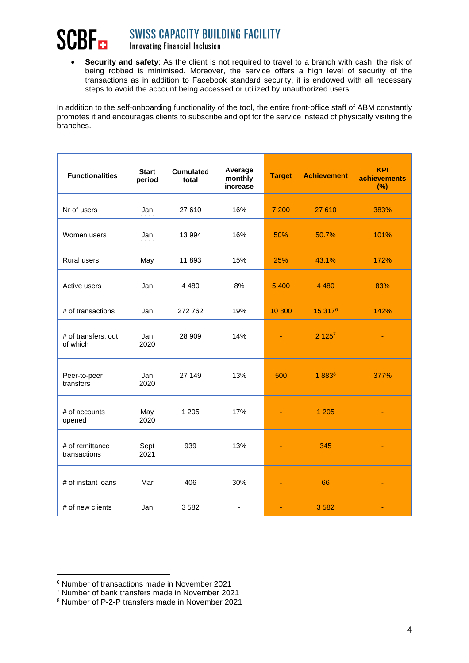#### **SWISS CAPACITY BUILDING FACILITY SCBF**<sub>ca</sub> **Innovating Financial Inclusion**

• **Security and safety**: As the client is not required to travel to a branch with cash, the risk of being robbed is minimised. Moreover, the service offers a high level of security of the transactions as in addition to Facebook standard security, it is endowed with all necessary steps to avoid the account being accessed or utilized by unauthorized users.

In addition to the self-onboarding functionality of the tool, the entire front-office staff of ABM constantly promotes it and encourages clients to subscribe and opt for the service instead of physically visiting the branches.

| <b>Functionalities</b>          | <b>Start</b><br>period | <b>Cumulated</b><br>total | Average<br>monthly<br>increase | <b>Target</b> | <b>Achievement</b>  | <b>KPI</b><br><b>achievements</b><br>(%) |
|---------------------------------|------------------------|---------------------------|--------------------------------|---------------|---------------------|------------------------------------------|
| Nr of users                     | Jan                    | 27 610                    | 16%                            | 7 200         | 27 610              | 383%                                     |
| Women users                     | Jan                    | 13 994                    | 16%                            | 50%           | 50.7%               | 101%                                     |
| Rural users                     | May                    | 11893                     | 15%                            | 25%           | 43.1%               | 172%                                     |
| Active users                    | Jan                    | 4 4 8 0                   | 8%                             | 5 4 0 0       | 4 4 8 0             | 83%                                      |
| # of transactions               | Jan                    | 272 762                   | 19%                            | 10 800        | 15 317 <sup>6</sup> | 142%                                     |
| # of transfers, out<br>of which | Jan<br>2020            | 28 909                    | 14%                            |               | 2.125 <sup>7</sup>  |                                          |
| Peer-to-peer<br>transfers       | Jan<br>2020            | 27 149                    | 13%                            | 500           | $1883^{8}$          | 377%                                     |
| # of accounts<br>opened         | May<br>2020            | 1 2 0 5                   | 17%                            |               | 1 2 0 5             |                                          |
| # of remittance<br>transactions | Sept<br>2021           | 939                       | 13%                            |               | 345                 |                                          |
| # of instant loans              | Mar                    | 406                       | 30%                            |               | 66                  |                                          |
| # of new clients                | Jan                    | 3582                      | $\blacksquare$                 |               | 3582                |                                          |

<sup>6</sup> Number of transactions made in November 2021

<sup>7</sup> Number of bank transfers made in November 2021

<sup>8</sup> Number of P-2-P transfers made in November 2021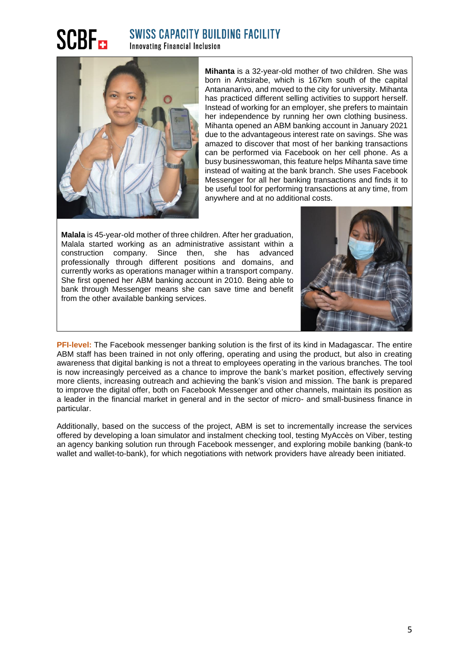# **SCBF<sub>ER</sub>**

### **SWISS CAPACITY BUILDING FACILITY Innovating Financial Inclusion**



**Mihanta** is a 32-year-old mother of two children. She was born in Antsirabe, which is 167km south of the capital Antananarivo, and moved to the city for university. Mihanta has practiced different selling activities to support herself. Instead of working for an employer, she prefers to maintain her independence by running her own clothing business. Mihanta opened an ABM banking account in January 2021 due to the advantageous interest rate on savings. She was amazed to discover that most of her banking transactions can be performed via Facebook on her cell phone. As a busy businesswoman, this feature helps Mihanta save time instead of waiting at the bank branch. She uses Facebook Messenger for all her banking transactions and finds it to be useful tool for performing transactions at any time, from anywhere and at no additional costs.

**Malala** is 45-year-old mother of three children. After her graduation, Malala started working as an administrative assistant within a construction company. Since then, she has advanced professionally through different positions and domains, and currently works as operations manager within a transport company. She first opened her ABM banking account in 2010. Being able to bank through Messenger means she can save time and benefit from the other available banking services.



**PFI-level:** The Facebook messenger banking solution is the first of its kind in Madagascar. The entire ABM staff has been trained in not only offering, operating and using the product, but also in creating awareness that digital banking is not a threat to employees operating in the various branches. The tool is now increasingly perceived as a chance to improve the bank's market position, effectively serving more clients, increasing outreach and achieving the bank's vision and mission. The bank is prepared to improve the digital offer, both on Facebook Messenger and other channels, maintain its position as a leader in the financial market in general and in the sector of micro- and small-business finance in particular.

Additionally, based on the success of the project, ABM is set to incrementally increase the services offered by developing a loan simulator and instalment checking tool, testing MyAccès on Viber, testing an agency banking solution run through Facebook messenger, and exploring mobile banking (bank-to wallet and wallet-to-bank), for which negotiations with network providers have already been initiated.